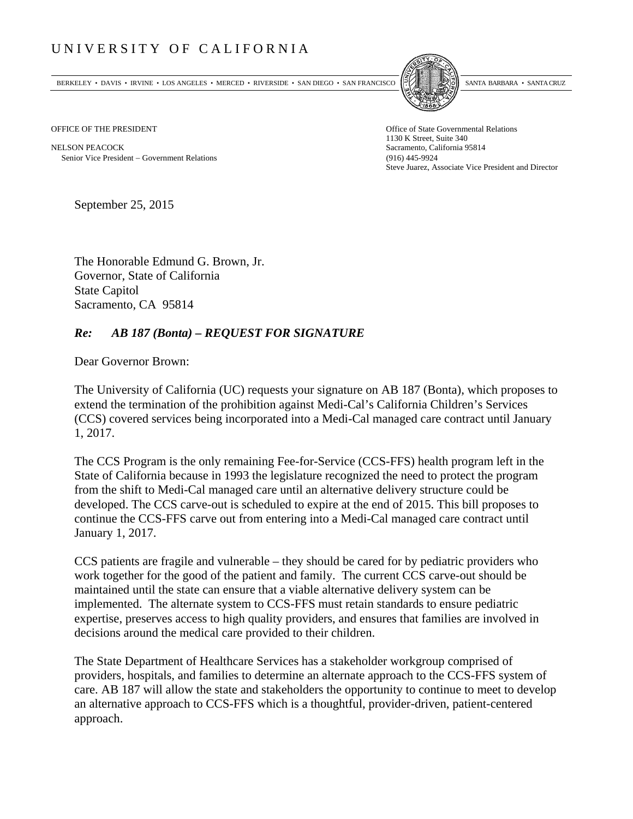## UNIVERSITY OF CALIFORNIA

BERKELEY • DAVIS • IRVINE • LOS ANGELES • MERCED • RIVERSIDE • SAN DIEGO • SAN FRANCISCO SANTA BARBARA • SANTA CRUZ



OFFICE OF THE PRESIDENT STATES OF THE PRESIDENT

NELSON PEACOCK Sacramento, California 95814 Senior Vice President Government Relations (916) 445-9924

1130 K Street, Suite 340 Steve Juarez, Associate Vice President and Director

September 25, 2015

The Honorable Edmund G. Brown, Jr. Governor, State of California State Capitol Sacramento, CA 95814

## *Re: AB 187 (Bonta) – REQUEST FOR SIGNATURE*

Dear Governor Brown:

The University of California (UC) requests your signature on AB 187 (Bonta), which proposes to extend the termination of the prohibition against Medi-Cal's California Children's Services (CCS) covered services being incorporated into a Medi-Cal managed care contract until January 1, 2017.

The CCS Program is the only remaining Fee-for-Service (CCS-FFS) health program left in the State of California because in 1993 the legislature recognized the need to protect the program from the shift to Medi-Cal managed care until an alternative delivery structure could be developed. The CCS carve-out is scheduled to expire at the end of 2015. This bill proposes to continue the CCS-FFS carve out from entering into a Medi-Cal managed care contract until January 1, 2017.

CCS patients are fragile and vulnerable – they should be cared for by pediatric providers who work together for the good of the patient and family. The current CCS carve-out should be maintained until the state can ensure that a viable alternative delivery system can be implemented. The alternate system to CCS-FFS must retain standards to ensure pediatric expertise, preserves access to high quality providers, and ensures that families are involved in decisions around the medical care provided to their children.

The State Department of Healthcare Services has a stakeholder workgroup comprised of providers, hospitals, and families to determine an alternate approach to the CCS-FFS system of care. AB 187 will allow the state and stakeholders the opportunity to continue to meet to develop an alternative approach to CCS-FFS which is a thoughtful, provider-driven, patient-centered approach.